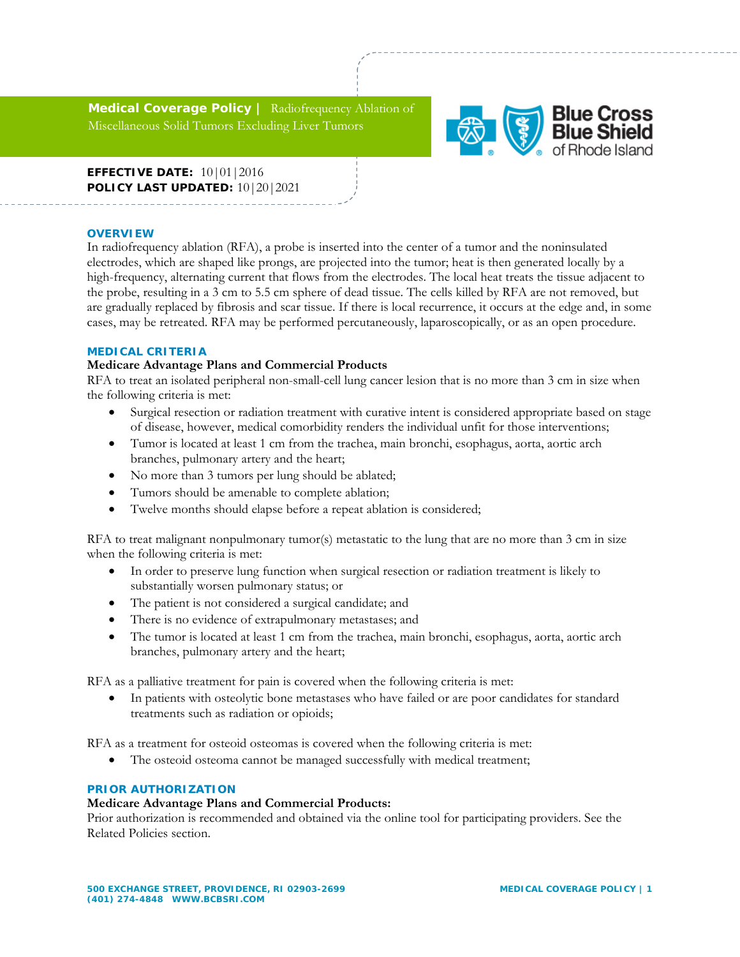**Medical Coverage Policy |** Radiofrequency Ablation of Miscellaneous Solid Tumors Excluding Liver Tumors



**EFFECTIVE DATE:** 10|01|2016 **POLICY LAST UPDATED:** 10|20|2021

### **OVERVIEW**

In radiofrequency ablation (RFA), a probe is inserted into the center of a tumor and the noninsulated electrodes, which are shaped like prongs, are projected into the tumor; heat is then generated locally by a high-frequency, alternating current that flows from the electrodes. The local heat treats the tissue adjacent to the probe, resulting in a 3 cm to 5.5 cm sphere of dead tissue. The cells killed by RFA are not removed, but are gradually replaced by fibrosis and scar tissue. If there is local recurrence, it occurs at the edge and, in some cases, may be retreated. RFA may be performed percutaneously, laparoscopically, or as an open procedure.

### **MEDICAL CRITERIA**

# **Medicare Advantage Plans and Commercial Products**

RFA to treat an isolated peripheral non-small-cell lung cancer lesion that is no more than 3 cm in size when the following criteria is met:

- Surgical resection or radiation treatment with curative intent is considered appropriate based on stage of disease, however, medical comorbidity renders the individual unfit for those interventions;
- Tumor is located at least 1 cm from the trachea, main bronchi, esophagus, aorta, aortic arch branches, pulmonary artery and the heart;
- No more than 3 tumors per lung should be ablated;
- Tumors should be amenable to complete ablation;
- Twelve months should elapse before a repeat ablation is considered;

RFA to treat malignant nonpulmonary tumor(s) metastatic to the lung that are no more than 3 cm in size when the following criteria is met:

- In order to preserve lung function when surgical resection or radiation treatment is likely to substantially worsen pulmonary status; or
- The patient is not considered a surgical candidate; and
- There is no evidence of extrapulmonary metastases; and
- The tumor is located at least 1 cm from the trachea, main bronchi, esophagus, aorta, aortic arch branches, pulmonary artery and the heart;

RFA as a palliative treatment for pain is covered when the following criteria is met:

 In patients with osteolytic bone metastases who have failed or are poor candidates for standard treatments such as radiation or opioids;

RFA as a treatment for osteoid osteomas is covered when the following criteria is met:

The osteoid osteoma cannot be managed successfully with medical treatment;

# **PRIOR AUTHORIZATION**

# **Medicare Advantage Plans and Commercial Products:**

Prior authorization is recommended and obtained via the online tool for participating providers. See the Related Policies section.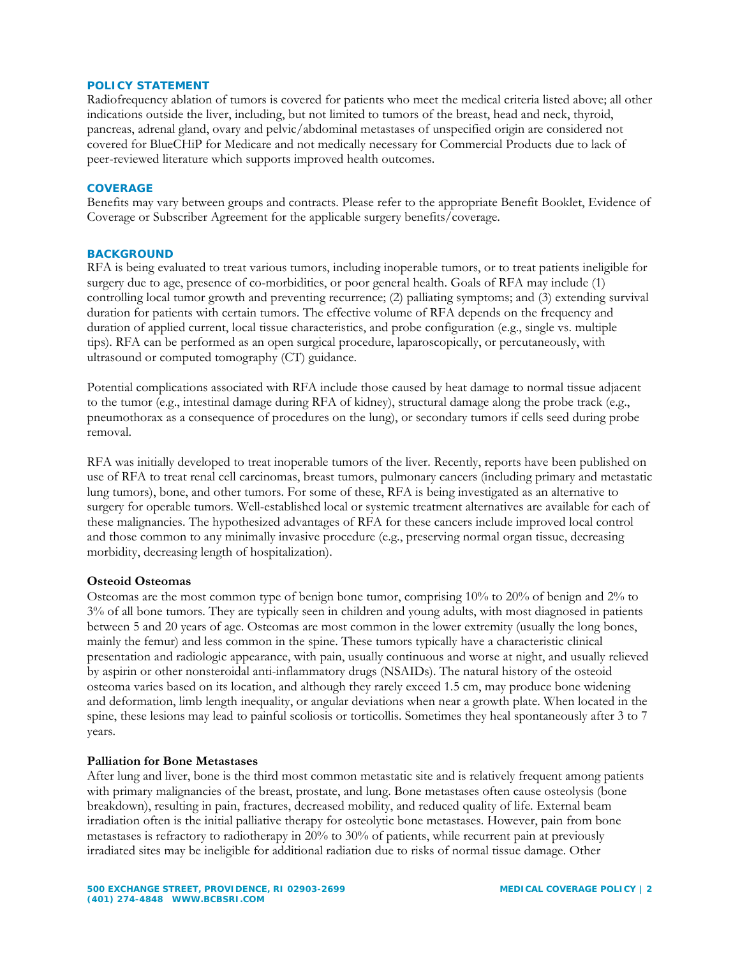### **POLICY STATEMENT**

Radiofrequency ablation of tumors is covered for patients who meet the medical criteria listed above; all other indications outside the liver, including, but not limited to tumors of the breast, head and neck, thyroid, pancreas, adrenal gland, ovary and pelvic/abdominal metastases of unspecified origin are considered not covered for BlueCHiP for Medicare and not medically necessary for Commercial Products due to lack of peer-reviewed literature which supports improved health outcomes.

### **COVERAGE**

Benefits may vary between groups and contracts. Please refer to the appropriate Benefit Booklet, Evidence of Coverage or Subscriber Agreement for the applicable surgery benefits/coverage.

#### **BACKGROUND**

RFA is being evaluated to treat various tumors, including inoperable tumors, or to treat patients ineligible for surgery due to age, presence of co-morbidities, or poor general health. Goals of RFA may include (1) controlling local tumor growth and preventing recurrence; (2) palliating symptoms; and (3) extending survival duration for patients with certain tumors. The effective volume of RFA depends on the frequency and duration of applied current, local tissue characteristics, and probe configuration (e.g., single vs. multiple tips). RFA can be performed as an open surgical procedure, laparoscopically, or percutaneously, with ultrasound or computed tomography (CT) guidance.

Potential complications associated with RFA include those caused by heat damage to normal tissue adjacent to the tumor (e.g., intestinal damage during RFA of kidney), structural damage along the probe track (e.g., pneumothorax as a consequence of procedures on the lung), or secondary tumors if cells seed during probe removal.

RFA was initially developed to treat inoperable tumors of the liver. Recently, reports have been published on use of RFA to treat renal cell carcinomas, breast tumors, pulmonary cancers (including primary and metastatic lung tumors), bone, and other tumors. For some of these, RFA is being investigated as an alternative to surgery for operable tumors. Well-established local or systemic treatment alternatives are available for each of these malignancies. The hypothesized advantages of RFA for these cancers include improved local control and those common to any minimally invasive procedure (e.g., preserving normal organ tissue, decreasing morbidity, decreasing length of hospitalization).

### **Osteoid Osteomas**

Osteomas are the most common type of benign bone tumor, comprising 10% to 20% of benign and 2% to 3% of all bone tumors. They are typically seen in children and young adults, with most diagnosed in patients between 5 and 20 years of age. Osteomas are most common in the lower extremity (usually the long bones, mainly the femur) and less common in the spine. These tumors typically have a characteristic clinical presentation and radiologic appearance, with pain, usually continuous and worse at night, and usually relieved by aspirin or other nonsteroidal anti-inflammatory drugs (NSAIDs). The natural history of the osteoid osteoma varies based on its location, and although they rarely exceed 1.5 cm, may produce bone widening and deformation, limb length inequality, or angular deviations when near a growth plate. When located in the spine, these lesions may lead to painful scoliosis or torticollis. Sometimes they heal spontaneously after 3 to 7 years.

#### **Palliation for Bone Metastases**

After lung and liver, bone is the third most common metastatic site and is relatively frequent among patients with primary malignancies of the breast, prostate, and lung. Bone metastases often cause osteolysis (bone breakdown), resulting in pain, fractures, decreased mobility, and reduced quality of life. External beam irradiation often is the initial palliative therapy for osteolytic bone metastases. However, pain from bone metastases is refractory to radiotherapy in 20% to 30% of patients, while recurrent pain at previously irradiated sites may be ineligible for additional radiation due to risks of normal tissue damage. Other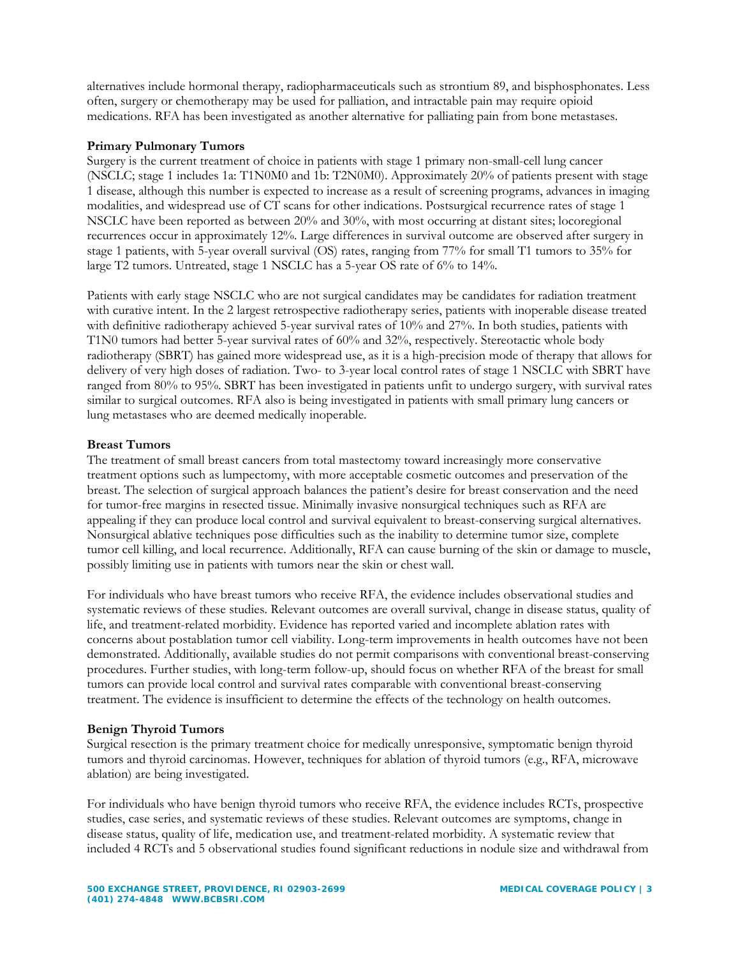alternatives include hormonal therapy, radiopharmaceuticals such as strontium 89, and bisphosphonates. Less often, surgery or chemotherapy may be used for palliation, and intractable pain may require opioid medications. RFA has been investigated as another alternative for palliating pain from bone metastases.

# **Primary Pulmonary Tumors**

Surgery is the current treatment of choice in patients with stage 1 primary non-small-cell lung cancer (NSCLC; stage 1 includes 1a: T1N0M0 and 1b: T2N0M0). Approximately 20% of patients present with stage 1 disease, although this number is expected to increase as a result of screening programs, advances in imaging modalities, and widespread use of CT scans for other indications. Postsurgical recurrence rates of stage 1 NSCLC have been reported as between 20% and 30%, with most occurring at distant sites; locoregional recurrences occur in approximately 12%. Large differences in survival outcome are observed after surgery in stage 1 patients, with 5-year overall survival (OS) rates, ranging from 77% for small T1 tumors to 35% for large T2 tumors. Untreated, stage 1 NSCLC has a 5-year OS rate of 6% to 14%.

Patients with early stage NSCLC who are not surgical candidates may be candidates for radiation treatment with curative intent. In the 2 largest retrospective radiotherapy series, patients with inoperable disease treated with definitive radiotherapy achieved 5-year survival rates of 10% and 27%. In both studies, patients with T1N0 tumors had better 5-year survival rates of 60% and 32%, respectively. Stereotactic whole body radiotherapy (SBRT) has gained more widespread use, as it is a high-precision mode of therapy that allows for delivery of very high doses of radiation. Two- to 3-year local control rates of stage 1 NSCLC with SBRT have ranged from 80% to 95%. SBRT has been investigated in patients unfit to undergo surgery, with survival rates similar to surgical outcomes. RFA also is being investigated in patients with small primary lung cancers or lung metastases who are deemed medically inoperable.

# **Breast Tumors**

The treatment of small breast cancers from total mastectomy toward increasingly more conservative treatment options such as lumpectomy, with more acceptable cosmetic outcomes and preservation of the breast. The selection of surgical approach balances the patient's desire for breast conservation and the need for tumor-free margins in resected tissue. Minimally invasive nonsurgical techniques such as RFA are appealing if they can produce local control and survival equivalent to breast-conserving surgical alternatives. Nonsurgical ablative techniques pose difficulties such as the inability to determine tumor size, complete tumor cell killing, and local recurrence. Additionally, RFA can cause burning of the skin or damage to muscle, possibly limiting use in patients with tumors near the skin or chest wall.

For individuals who have breast tumors who receive RFA, the evidence includes observational studies and systematic reviews of these studies. Relevant outcomes are overall survival, change in disease status, quality of life, and treatment-related morbidity. Evidence has reported varied and incomplete ablation rates with concerns about postablation tumor cell viability. Long-term improvements in health outcomes have not been demonstrated. Additionally, available studies do not permit comparisons with conventional breast-conserving procedures. Further studies, with long-term follow-up, should focus on whether RFA of the breast for small tumors can provide local control and survival rates comparable with conventional breast-conserving treatment. The evidence is insufficient to determine the effects of the technology on health outcomes.

# **Benign Thyroid Tumors**

Surgical resection is the primary treatment choice for medically unresponsive, symptomatic benign thyroid tumors and thyroid carcinomas. However, techniques for ablation of thyroid tumors (e.g., RFA, microwave ablation) are being investigated.

For individuals who have benign thyroid tumors who receive RFA, the evidence includes RCTs, prospective studies, case series, and systematic reviews of these studies. Relevant outcomes are symptoms, change in disease status, quality of life, medication use, and treatment-related morbidity. A systematic review that included 4 RCTs and 5 observational studies found significant reductions in nodule size and withdrawal from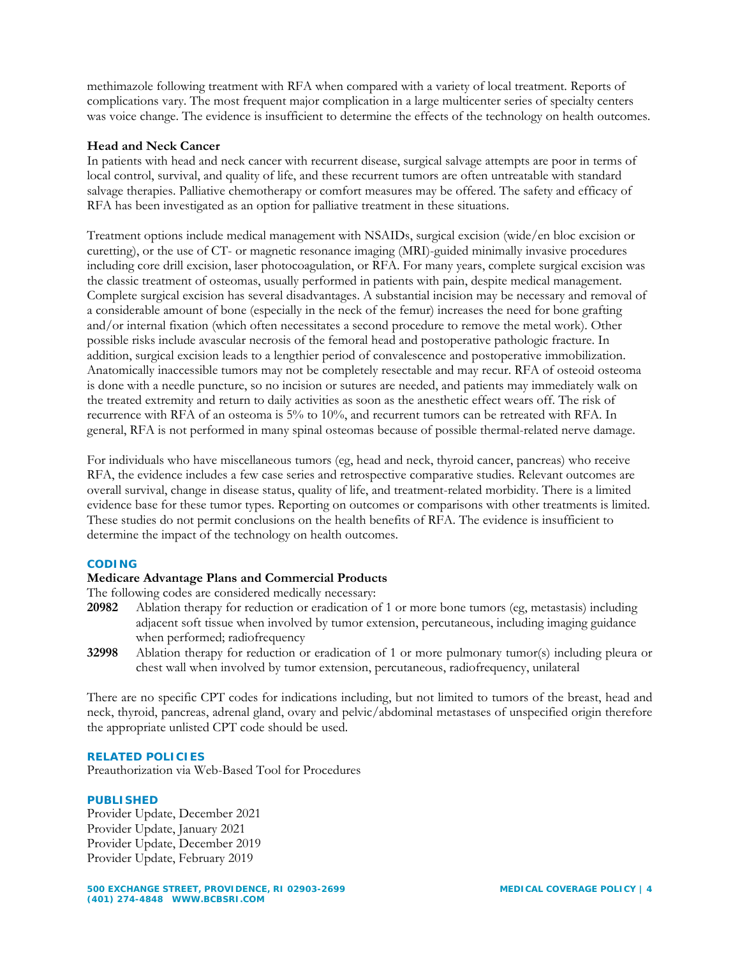methimazole following treatment with RFA when compared with a variety of local treatment. Reports of complications vary. The most frequent major complication in a large multicenter series of specialty centers was voice change. The evidence is insufficient to determine the effects of the technology on health outcomes.

# **Head and Neck Cancer**

In patients with head and neck cancer with recurrent disease, surgical salvage attempts are poor in terms of local control, survival, and quality of life, and these recurrent tumors are often untreatable with standard salvage therapies. Palliative chemotherapy or comfort measures may be offered. The safety and efficacy of RFA has been investigated as an option for palliative treatment in these situations.

Treatment options include medical management with NSAIDs, surgical excision (wide/en bloc excision or curetting), or the use of CT- or magnetic resonance imaging (MRI)-guided minimally invasive procedures including core drill excision, laser photocoagulation, or RFA. For many years, complete surgical excision was the classic treatment of osteomas, usually performed in patients with pain, despite medical management. Complete surgical excision has several disadvantages. A substantial incision may be necessary and removal of a considerable amount of bone (especially in the neck of the femur) increases the need for bone grafting and/or internal fixation (which often necessitates a second procedure to remove the metal work). Other possible risks include avascular necrosis of the femoral head and postoperative pathologic fracture. In addition, surgical excision leads to a lengthier period of convalescence and postoperative immobilization. Anatomically inaccessible tumors may not be completely resectable and may recur. RFA of osteoid osteoma is done with a needle puncture, so no incision or sutures are needed, and patients may immediately walk on the treated extremity and return to daily activities as soon as the anesthetic effect wears off. The risk of recurrence with RFA of an osteoma is 5% to 10%, and recurrent tumors can be retreated with RFA. In general, RFA is not performed in many spinal osteomas because of possible thermal-related nerve damage.

For individuals who have miscellaneous tumors (eg, head and neck, thyroid cancer, pancreas) who receive RFA, the evidence includes a few case series and retrospective comparative studies. Relevant outcomes are overall survival, change in disease status, quality of life, and treatment-related morbidity. There is a limited evidence base for these tumor types. Reporting on outcomes or comparisons with other treatments is limited. These studies do not permit conclusions on the health benefits of RFA. The evidence is insufficient to determine the impact of the technology on health outcomes.

# **CODING**

# **Medicare Advantage Plans and Commercial Products**

The following codes are considered medically necessary:

- **20982** Ablation therapy for reduction or eradication of 1 or more bone tumors (eg, metastasis) including adjacent soft tissue when involved by tumor extension, percutaneous, including imaging guidance when performed; radiofrequency
- **32998** Ablation therapy for reduction or eradication of 1 or more pulmonary tumor(s) including pleura or chest wall when involved by tumor extension, percutaneous, radiofrequency, unilateral

There are no specific CPT codes for indications including, but not limited to tumors of the breast, head and neck, thyroid, pancreas, adrenal gland, ovary and pelvic/abdominal metastases of unspecified origin therefore the appropriate unlisted CPT code should be used.

# **RELATED POLICIES**

Preauthorization via Web-Based Tool for Procedures

# **PUBLISHED**

Provider Update, December 2021 Provider Update, January 2021 Provider Update, December 2019 Provider Update, February 2019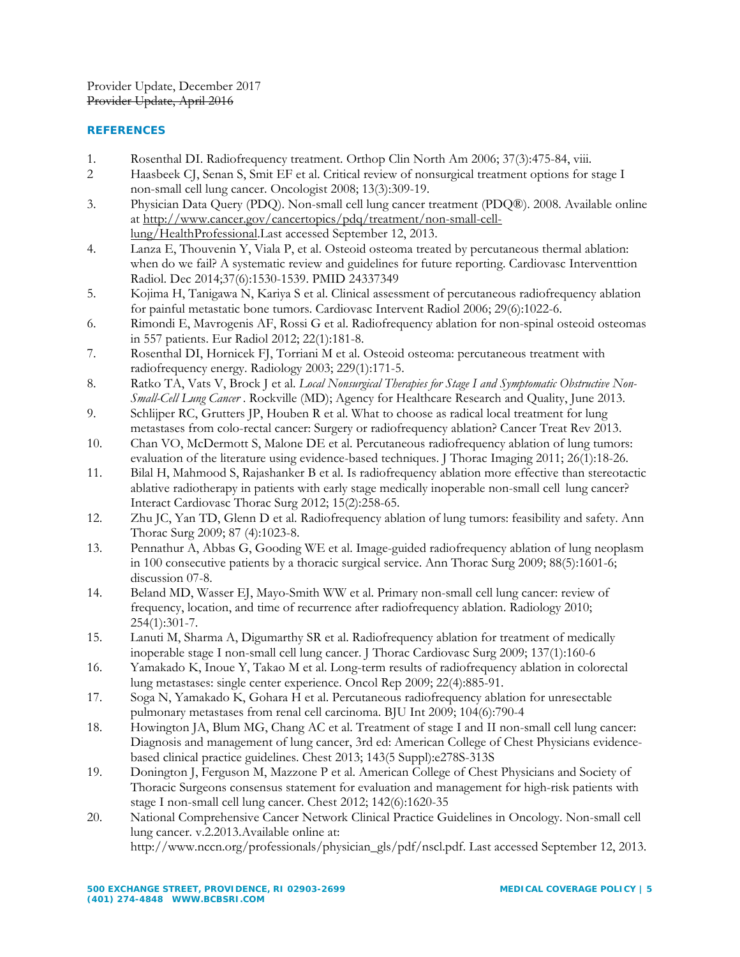Provider Update, December 2017 Provider Update, April 2016

# **REFERENCES**

- 1. Rosenthal DI. Radiofrequency treatment. Orthop Clin North Am 2006; 37(3):475-84, viii.
- 2 Haasbeek CJ, Senan S, Smit EF et al. Critical review of nonsurgical treatment options for stage I non-small cell lung cancer. Oncologist 2008; 13(3):309-19.
- 3. Physician Data Query (PDQ). Non-small cell lung cancer treatment (PDQ®). 2008. Available online at http://www.cancer.gov/cancertopics/pdq/treatment/non-small-celllung/HealthProfessional.Last accessed September 12, 2013.
- 4. Lanza E, Thouvenin Y, Viala P, et al. Osteoid osteoma treated by percutaneous thermal ablation: when do we fail? A systematic review and guidelines for future reporting. Cardiovasc Interventtion Radiol. Dec 2014;37(6):1530-1539. PMID 24337349
- 5. Kojima H, Tanigawa N, Kariya S et al. Clinical assessment of percutaneous radiofrequency ablation for painful metastatic bone tumors. Cardiovasc Intervent Radiol 2006; 29(6):1022-6.
- 6. Rimondi E, Mavrogenis AF, Rossi G et al. Radiofrequency ablation for non-spinal osteoid osteomas in 557 patients. Eur Radiol 2012; 22(1):181-8.
- 7. Rosenthal DI, Hornicek FJ, Torriani M et al. Osteoid osteoma: percutaneous treatment with radiofrequency energy. Radiology 2003; 229(1):171-5.
- 8. Ratko TA, Vats V, Brock J et al. *Local Nonsurgical Therapies for Stage I and Symptomatic Obstructive Non-Small-Cell Lung Cancer* . Rockville (MD); Agency for Healthcare Research and Quality, June 2013.
- 9. Schlijper RC, Grutters JP, Houben R et al. What to choose as radical local treatment for lung metastases from colo-rectal cancer: Surgery or radiofrequency ablation? Cancer Treat Rev 2013.
- 10. Chan VO, McDermott S, Malone DE et al. Percutaneous radiofrequency ablation of lung tumors: evaluation of the literature using evidence-based techniques. J Thorac Imaging 2011; 26(1):18-26.
- 11. Bilal H, Mahmood S, Rajashanker B et al. Is radiofrequency ablation more effective than stereotactic ablative radiotherapy in patients with early stage medically inoperable non-small cell lung cancer? Interact Cardiovasc Thorac Surg 2012; 15(2):258-65.
- 12. Zhu JC, Yan TD, Glenn D et al. Radiofrequency ablation of lung tumors: feasibility and safety. Ann Thorac Surg 2009; 87 (4):1023-8.
- 13. Pennathur A, Abbas G, Gooding WE et al. Image-guided radiofrequency ablation of lung neoplasm in 100 consecutive patients by a thoracic surgical service. Ann Thorac Surg 2009; 88(5):1601-6; discussion 07-8.
- 14. Beland MD, Wasser EJ, Mayo-Smith WW et al. Primary non-small cell lung cancer: review of frequency, location, and time of recurrence after radiofrequency ablation. Radiology 2010; 254(1):301-7.
- 15. Lanuti M, Sharma A, Digumarthy SR et al. Radiofrequency ablation for treatment of medically inoperable stage I non-small cell lung cancer. J Thorac Cardiovasc Surg 2009; 137(1):160-6
- 16. Yamakado K, Inoue Y, Takao M et al. Long-term results of radiofrequency ablation in colorectal lung metastases: single center experience. Oncol Rep 2009; 22(4):885-91.
- 17. Soga N, Yamakado K, Gohara H et al. Percutaneous radiofrequency ablation for unresectable pulmonary metastases from renal cell carcinoma. BJU Int 2009; 104(6):790-4
- 18. Howington JA, Blum MG, Chang AC et al. Treatment of stage I and II non-small cell lung cancer: Diagnosis and management of lung cancer, 3rd ed: American College of Chest Physicians evidencebased clinical practice guidelines. Chest 2013; 143(5 Suppl):e278S-313S
- 19. Donington J, Ferguson M, Mazzone P et al. American College of Chest Physicians and Society of Thoracic Surgeons consensus statement for evaluation and management for high-risk patients with stage I non-small cell lung cancer. Chest 2012; 142(6):1620-35
- 20. National Comprehensive Cancer Network Clinical Practice Guidelines in Oncology. Non-small cell lung cancer. v.2.2013.Available online at:

http://www.nccn.org/professionals/physician\_gls/pdf/nscl.pdf. Last accessed September 12, 2013.